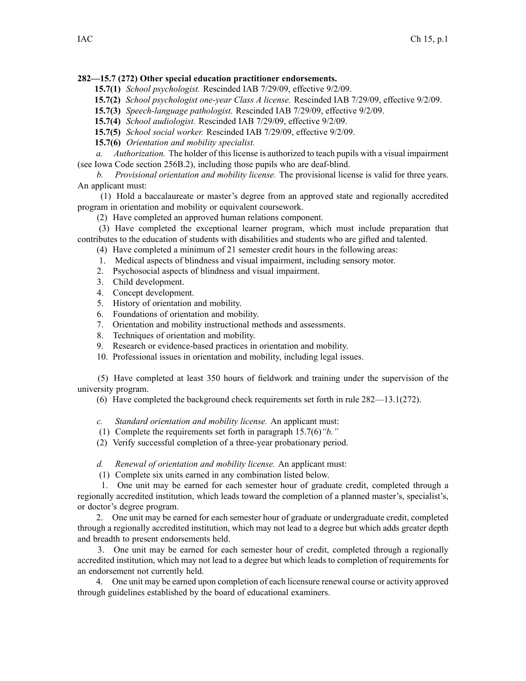## **282—15.7 (272) Other special education practitioner endorsements.**

- **15.7(1)** *School psychologist.* Rescinded IAB [7/29/09](https://www.legis.iowa.gov/docs/aco/bulletin/07-29-2009.pdf), effective 9/2/09.
- **15.7(2)** *School psychologist one-year Class A license.* Rescinded IAB [7/29/09](https://www.legis.iowa.gov/docs/aco/bulletin/07-29-2009.pdf), effective 9/2/09.
- **15.7(3)** *Speech-language pathologist.* Rescinded IAB [7/29/09](https://www.legis.iowa.gov/docs/aco/bulletin/07-29-2009.pdf), effective 9/2/09.
- **15.7(4)** *School audiologist.* Rescinded IAB [7/29/09](https://www.legis.iowa.gov/docs/aco/bulletin/07-29-2009.pdf), effective 9/2/09.
- **15.7(5)** *School social worker.* Rescinded IAB [7/29/09](https://www.legis.iowa.gov/docs/aco/bulletin/07-29-2009.pdf), effective 9/2/09.
- **15.7(6)** *Orientation and mobility specialist.*

*a. Authorization.* The holder of this license is authorized to teach pupils with <sup>a</sup> visual impairment (see Iowa Code section [256B.2](https://www.legis.iowa.gov/docs/ico/section/256B.2.pdf)), including those pupils who are deaf-blind.

*b. Provisional orientation and mobility license.* The provisional license is valid for three years. An applicant must:

(1) Hold <sup>a</sup> baccalaureate or master's degree from an approved state and regionally accredited program in orientation and mobility or equivalent coursework.

(2) Have completed an approved human relations component.

(3) Have completed the exceptional learner program, which must include preparation that contributes to the education of students with disabilities and students who are gifted and talented.

- (4) Have completed <sup>a</sup> minimum of 21 semester credit hours in the following areas:
- 1. Medical aspects of blindness and visual impairment, including sensory motor.
- 2. Psychosocial aspects of blindness and visual impairment.
- 3. Child development.
- 4. Concept development.
- 5. History of orientation and mobility.
- 6. Foundations of orientation and mobility.
- 7. Orientation and mobility instructional methods and assessments.
- 8. Techniques of orientation and mobility.
- 9. Research or evidence-based practices in orientation and mobility.
- 10. Professional issues in orientation and mobility, including legal issues.

(5) Have completed at least 350 hours of fieldwork and training under the supervision of the university program.

(6) Have completed the background check requirements set forth in rule 282—13.1(272).

*c. Standard orientation and mobility license.* An applicant must:

- (1) Complete the requirements set forth in paragraph 15.7(6)*"b."*
- (2) Verify successful completion of <sup>a</sup> three-year probationary period.
- *d. Renewal of orientation and mobility license.* An applicant must:
- (1) Complete six units earned in any combination listed below.

1. One unit may be earned for each semester hour of graduate credit, completed through <sup>a</sup> regionally accredited institution, which leads toward the completion of <sup>a</sup> planned master's, specialist's, or doctor's degree program.

2. One unit may be earned for each semester hour of graduate or undergraduate credit, completed through <sup>a</sup> regionally accredited institution, which may not lead to <sup>a</sup> degree but which adds greater depth and breadth to presen<sup>t</sup> endorsements held.

3. One unit may be earned for each semester hour of credit, completed through <sup>a</sup> regionally accredited institution, which may not lead to <sup>a</sup> degree but which leads to completion of requirements for an endorsement not currently held.

4. One unit may be earned upon completion of each licensure renewal course or activity approved through guidelines established by the board of educational examiners.